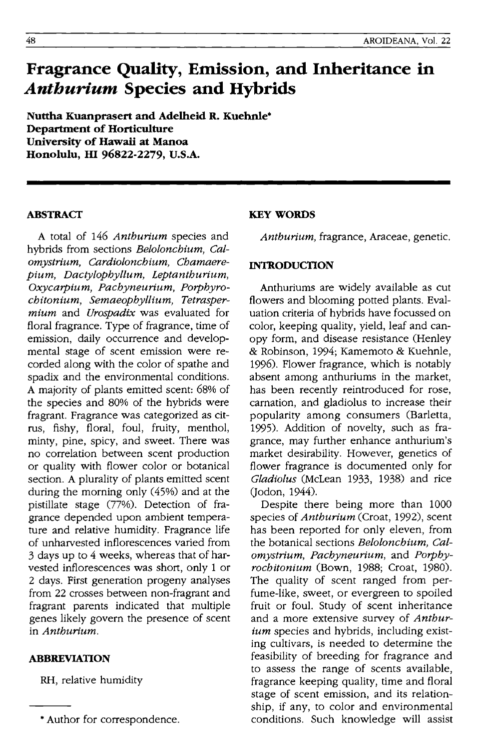# **Fragrance Quality, Emission, and Inheritance in**  *Anthurium* **Species and Hybrids**

**Nuttha Kuanprasert and Adelheid R. Kuehnle· Department of Horticulture University of Hawaii at Manoa Honolulu, m 96822-2279, U.S.A.** 

### **ABSTRACT**

A total of 146 *Anthurium* species and hybrids from sections *Belolonchium, Calomystrium, Cardiolonchium, Chamaerepium, Dactylophyllum, Leptanthurium, Oxycarpium, Pachyneurium, Porphyrochitonium, Semaeophyllium, Tetraspermium* and *Urospadix* was evaluated for floral fragrance. Type of fragrance, time of emission, daily occurrence and developmental stage of scent emission were recorded along with the color of spathe and spadix and the environmental conditions. A majority of plants emitted scent: 68% of the species and 80% of the hybrids were fragrant. Fragrance was categorized as citrus, fishy, floral, foul, fruity, menthol, minty, pine, spicy, and sweet. There was no correlation between scent production or quality with flower color or botanical section. A plurality of plants emitted scent during the morning only (45%) and at the pistillate stage (77%). Detection of fragrance depended upon ambient temperature and relative humidity. Fragrance life of unharvested inflorescences varied from 3 days up to 4 weeks, whereas that of harvested inflorescences was short, only 1 or 2 days. First generation progeny analyses from 22 crosses between non-fragrant and fragrant parents indicated that multiple genes likely govern the presence of scent in *Anthurium.* 

#### **ABBREVIATION**

RH, relative humidity

# **KEY WORDS**

*Anthurium,* fragrance, Araceae, genetic.

## **INTRODUCTION**

Anthuriums are widely available as cut flowers and blooming potted plants. Evaluation criteria of hybrids have focussed on color, keeping quality, yield, leaf and canopy form, and disease resistance (Henley & Robinson, 1994; Kamemoto & Kuehnle, 1996). Flower fragrance, which is notably absent among anthuriums in the market, has been recently reintroduced for rose, carnation, and gladiolus to increase their popularity among consumers (Barletta, 1995). Addition of novelty, such as fragrance, may further enhance anthurium's market desirability. However, genetics of flower fragrance is documented only for *Gladiolus* (McLean 1933, 1938) and rice (Jodon, 1944).

Despite there being more than 1000 species of *Anthurium* (Croat, 1992), scent has been reported for only eleven, from the botanical sections *Belolonchium, Calomystrium, Pachyneurium,* and *Porphyrochitonium* (Bown, 1988; Croat, 1980). The quality of scent ranged from perfume-like, sweet, or evergreen to spoiled fruit or foul. Study of scent inheritance and a more extensive survey of *Anthurium* species and hybrids, including existing cultivars, is needed to determine the feasibility of breeding for fragrance and to assess the range of scents available, fragrance keeping quality, time and floral stage of scent emission, and its relationship, if any, to color and environmental conditions. Such knowledge will assist

<sup>•</sup> Author for correspondence.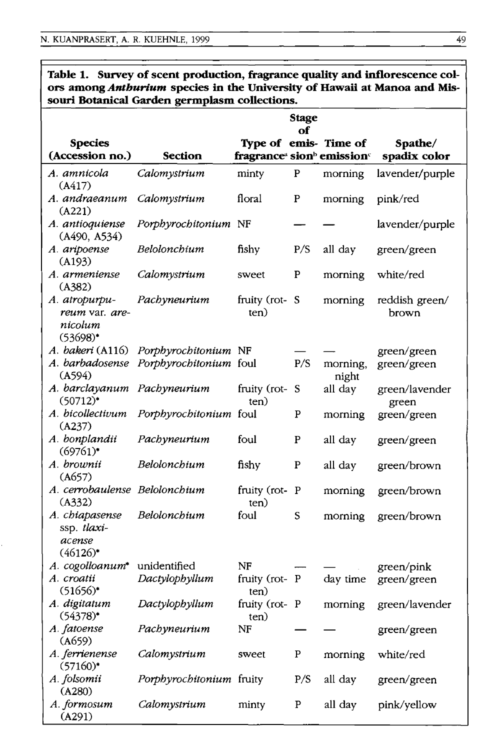|                                                           | souri Botanical Garden germplasm collections. |                                                                |              |                       |                         |
|-----------------------------------------------------------|-----------------------------------------------|----------------------------------------------------------------|--------------|-----------------------|-------------------------|
|                                                           |                                               |                                                                | Stage<br>of  |                       |                         |
| <b>Species</b>                                            |                                               |                                                                |              | Type of emis- Time of | Spathe/                 |
| (Accession no.)                                           | Section                                       | fragrance <sup>a</sup> sion <sup>b</sup> emission <sup>c</sup> |              |                       | spadix color            |
| A. amnicola<br>(A417)                                     | Calomystrium                                  | minty                                                          | ${\bf P}$    | morning               | lavender/purple         |
| A. andraeanum<br>(A221)                                   | Calomystrium                                  | floral                                                         | P            | morning               | pink/red                |
| A. antioquiense<br>(A490, A534)                           | Porphyrochitonium NF                          |                                                                |              |                       | lavender/purple         |
| A. aripoense<br>(A193)                                    | Belolonchium                                  | fishy                                                          | P/S          | all day               | green/green             |
| A. armeniense<br>(A382)                                   | Calomystrium                                  | sweet                                                          | P            | morning               | white/red               |
| A. atropurpu-<br>reum var. are-<br>nicolum<br>$(53698)^*$ | Pachyneurium                                  | fruity (rot-S<br>ten)                                          |              | morning               | reddish green/<br>brown |
| A. bakeri (A116)                                          | Porphyrochitonium NF                          |                                                                |              |                       | green/green             |
| A. barbadosense<br>(A594)                                 | Porphyrochitonium foul                        |                                                                | P/S          | morning,<br>night     | green/green             |
| A. barclayanum<br>$(50712)^*$                             | Pachyneurium                                  | fruity (rot-S<br>ten)                                          |              | all day               | green/lavender<br>green |
| A. bicollectivum<br>(A237)                                | Porphyrochitonium foul                        |                                                                | $\mathbf{P}$ | morning               | green/green             |
| A. bonplandii<br>$(69761)^*$                              | Pachyneurium                                  | foul                                                           | P            | all day               | green/green             |
| A. brownii<br>(A657)                                      | Belolonchium                                  | fishy                                                          | P            | all day               | green/brown             |
| A. cerrobaulense Belolonchium<br>(A332)                   |                                               | fruity (rot-P<br>ten)                                          |              | morning               | green/brown             |
| A. chiapasense<br>ssp. tlaxi-<br>acense<br>$(46126)^*$    | Belolonchium                                  | foul                                                           | S            | morning               | green/brown             |
| A. cogolloanum*                                           | unidentified                                  | NF                                                             |              |                       | green/pink              |
| A. croatii<br>$(51656)^*$                                 | Dactylophyllum                                | fruity (rot-P<br>ten)                                          |              | day time              | green/green             |
| A. digitatum<br>$(54378)^*$                               | Dactylophyllum                                | fruity (rot-P<br>ten)                                          |              | morning               | green/lavender          |
| A. fatoense<br>(A659)                                     | Pachyneurium                                  | NF                                                             |              |                       | green/green             |
| A. ferrienense<br>$(57160)^*$                             | Calomystrium                                  | sweet                                                          | P            | morning               | white/red               |
| A. folsomii<br>(A280)                                     | Porphyrochitonium fruity                      |                                                                | P/S          | all day               | green/green             |
| A. formosum<br>(A291)                                     | Calomystrium                                  | minty                                                          | ${\bf P}$    | all day               | pink/yellow             |

# **Table 1. Survey of scent production, fragrance quality and inflorescence colors among** *Anthurium* **species in the University of Hawaii at Manoa and Mis-**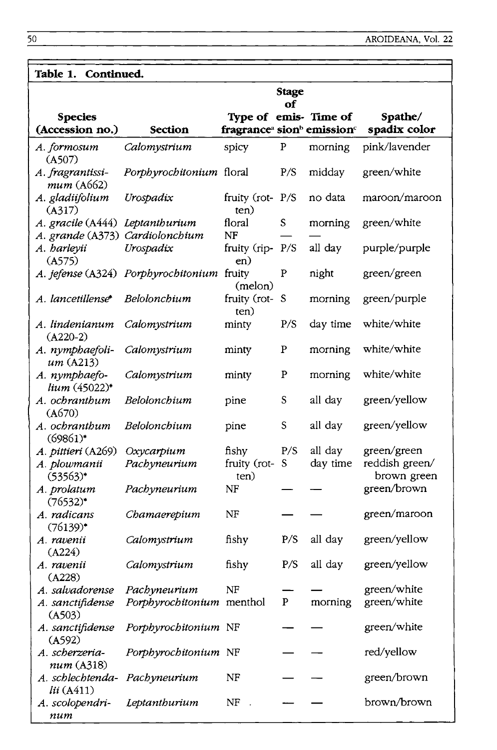| Table 1. Continued.                                                |                                            |                                                                |              |                       |                               |  |  |  |
|--------------------------------------------------------------------|--------------------------------------------|----------------------------------------------------------------|--------------|-----------------------|-------------------------------|--|--|--|
|                                                                    |                                            |                                                                | <b>Stage</b> |                       |                               |  |  |  |
|                                                                    |                                            |                                                                | оf           |                       |                               |  |  |  |
| <b>Species</b>                                                     |                                            |                                                                |              | Type of emis- Time of | Spathe/                       |  |  |  |
| (Accession no.)                                                    | <b>Section</b>                             | fragrance <sup>a</sup> sion <sup>b</sup> emission <sup>c</sup> |              |                       | spadix color                  |  |  |  |
| A. formosum<br>(A507)                                              | Calomystrium                               | spicy                                                          | ${\bf P}$    | morning               | pink/lavender                 |  |  |  |
| A. fragrantissi-<br>mum(A662)                                      | Porphyrochitonium floral                   |                                                                | P/S          | midday                | green/white                   |  |  |  |
| A. gladiifolium<br>(A317)                                          | Urospadix                                  | fruity (rot-P/S<br>ten)                                        |              | no data               | maroon/maroon                 |  |  |  |
| A. gracile (A444) Leptanthurium<br>A. grande (A373) Cardiolonchium |                                            | floral<br>NF                                                   | S            | morning               | green/white                   |  |  |  |
| A. harleyii                                                        | Urospadix                                  | fruity (rip-P/S                                                |              | all day               | purple/purple                 |  |  |  |
| (A575)                                                             |                                            | en)                                                            |              |                       |                               |  |  |  |
|                                                                    | A. jefense (A324) Porphyrochitonium fruity | (melon)                                                        | P            | night                 | green/green                   |  |  |  |
| A. lancetillense*                                                  | Belolonchium                               | fruity (rot-S<br>ten)                                          |              | morning               | green/purple                  |  |  |  |
| A. lindenianum<br>$(A220-2)$                                       | Calomystrium                               | minty                                                          | P/S          | day time              | white/white                   |  |  |  |
| A. nymphaefoli-<br>um(A213)                                        | Calomystrium                               | minty                                                          | P            | morning               | white/white                   |  |  |  |
| A. nymphaefo-<br>lium (45022)*                                     | Calomystrium                               | minty                                                          | P            | morning               | white/white                   |  |  |  |
| A. ochranthum<br>(A670)                                            | Belolonchium                               | pine                                                           | S            | all day               | green/yellow                  |  |  |  |
| A. ochranthum<br>$(69861)^*$                                       | Belolonchium                               | pine                                                           | $\mathsf S$  | all day               | green/yellow                  |  |  |  |
| A. pittieri (A269)                                                 | Oxycarpium                                 | fishy                                                          | P/S          | all day               | green/green                   |  |  |  |
| A. plowmanii<br>$(53563)^*$                                        | Pachyneurium                               | fruity (rot-<br>ten)                                           | S            | day time              | reddish green/<br>brown green |  |  |  |
| A. prolatum<br>$(76532)^*$                                         | Pachyneurium                               | NF                                                             |              |                       | green/brown                   |  |  |  |
| A. radicans<br>$(76139)^*$                                         | Chamaerepium                               | NF                                                             |              |                       | green/maroon                  |  |  |  |
| A. ravenii<br>(A224)                                               | Calomystrium                               | fishy                                                          | P/S          | all day               | green/yellow                  |  |  |  |
| A. ravenii                                                         | Calomystrium                               | fishy                                                          | P/S          | all day               | green/yellow                  |  |  |  |
| (A228)<br>A. salvadorense                                          | Pachyneurium                               | NF                                                             |              |                       | green/white                   |  |  |  |
| A. sanctifidense<br>(A503)                                         | Porphyrochitonium menthol                  |                                                                | P            | morning               | green/white                   |  |  |  |
| A. sanctifidense<br>(A592)                                         | Porphyrochitonium NF                       |                                                                |              |                       | green/white                   |  |  |  |
| A. scherzeria-                                                     | Porphyrochitonium NF                       |                                                                |              |                       | red/yellow                    |  |  |  |
| num (A318)<br>A. schlechtenda-                                     | Pachyneurium                               | NF                                                             |              |                       | green/brown                   |  |  |  |
| lii(A411)<br>A. scolopendri-                                       | Leptanthurium                              | NF                                                             |              |                       | brown/brown                   |  |  |  |
| num                                                                |                                            |                                                                |              |                       |                               |  |  |  |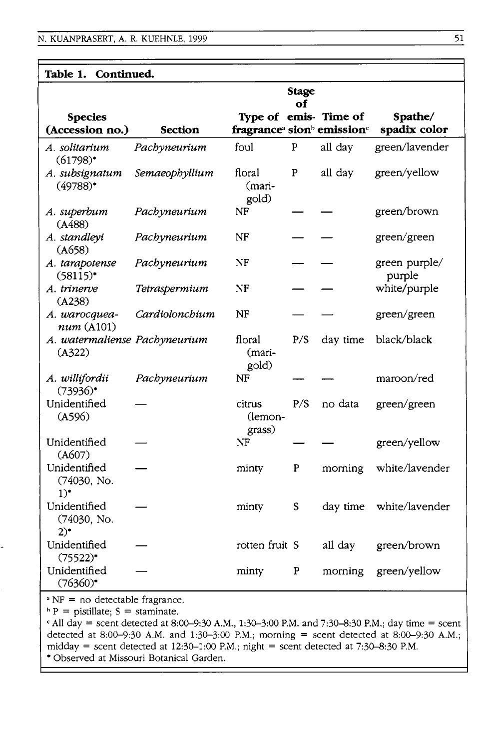| Continued.<br>Table 1.                           |                |                                                                |                    |          |                         |
|--------------------------------------------------|----------------|----------------------------------------------------------------|--------------------|----------|-------------------------|
| <b>Species</b>                                   |                | Type of emis- Time of                                          | <b>Stage</b><br>of |          | Spathe/                 |
| (Accession no.)                                  | <b>Section</b> | fragrance <sup>a</sup> sion <sup>b</sup> emission <sup>c</sup> |                    |          | spadix color            |
| A. solitarium<br>$(61798)^*$                     | Pachyneurium   | foul                                                           | P                  | all day  | green/lavender          |
| A. subsignatum<br>$(49788)^*$                    | Semaeophyllium | floral<br>(mari-<br>gold)                                      | ${\bf P}$          | all day  | green/yellow            |
| A. superbum<br>(A488)                            | Pachyneurium   | NF                                                             |                    |          | green/brown             |
| A. standleyi<br>(A658)                           | Pachyneurium   | NF                                                             |                    |          | green/green             |
| A. tarapotense<br>$(58115)^*$                    | Pachyneurium   | NF                                                             |                    |          | green purple/<br>purple |
| A. trinerve<br>(A238)                            | Tetraspermium  | NF                                                             |                    |          | white/purple            |
| A. warocquea-<br>num(A101)                       | Cardiolonchium | NF                                                             |                    |          | green/green             |
| A. watermaliense Pachyneurium<br>(A322)          |                | floral<br>(mari-<br>gold)                                      | P/S                | day time | black/black             |
| A. willifordii<br>$(73936)$ *                    | Pachyneurium   | NF                                                             |                    |          | maroon/red              |
| Unidentified<br>(A596)                           |                | citrus<br>(lemon-<br>grass)                                    | P/S                | no data  | green/green             |
| Unidentified<br>(A607)                           |                | NF                                                             |                    |          | green/yellow            |
| Unidentified<br>(74030, No.<br>$1)$ <sup>*</sup> |                | minty                                                          | P                  | morning  | white/lavender          |
| Unidentified<br>(74030, No.<br>$2)^*$            |                | minty                                                          | S                  | day time | white/lavender          |
| Unidentified<br>$(75522)^*$                      |                | rotten fruit S                                                 |                    | all day  | green/brown             |
| Unidentified<br>$(76360)^*$                      |                | minty                                                          | P                  | morning  | green/yellow            |
|                                                  |                |                                                                |                    |          |                         |

a NF = no detectable fragrance.

 $\Delta P =$  pistillate; S = staminate.

 $C$  All day = scent detected at 8:00-9:30 A.M., 1:30-3:00 P.M. and 7:30-8:30 P.M.; day time = scent detected at 8:00-9:30 A.M. and 1:30-3:00 P.M.; morning = scent detected at 8:00-9:30 A.M.; midday = scent detected at  $12:30-1:00$  P.M.; night = scent detected at  $7:30-8:30$  P.M. • Observed at Missouri Botanical Garden.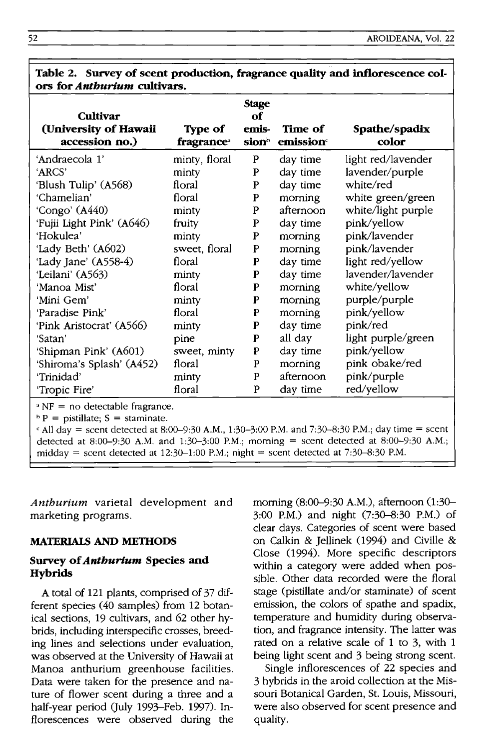| ors tor <i>anipurum</i> cultivars.                                                 |                       |                                                  |                     |                        |
|------------------------------------------------------------------------------------|-----------------------|--------------------------------------------------|---------------------|------------------------|
| Cultivar<br>(University of Hawaii<br>accession no.)                                | Type of<br>fragranceª | <b>Stage</b><br>of<br>emis-<br>sion <sup>h</sup> | Time of<br>emission | Spathe/spadix<br>color |
| 'Andraecola 1'                                                                     | minty, floral         | P                                                | day time            | light red/lavender     |
| 'ARCS'                                                                             | minty                 | P                                                | day time            | lavender/purple        |
| 'Blush Tulip' (A568)                                                               | floral                | P                                                | day time            | white/red              |
| 'Chamelian'                                                                        | floral                | P                                                | morning             | white green/green      |
| 'Congo' (A440)                                                                     | minty                 | P                                                | afternoon           | white/light purple     |
| 'Fujii Light Pink' (A646)                                                          | fruity                | P                                                | day time            | pink/yellow            |
| 'Hokulea'                                                                          | minty                 | P                                                | morning             | pink/lavender          |
| 'Lady Beth' (A602)                                                                 | sweet, floral         | P                                                | morning             | pink/lavender          |
| 'Lady Jane' (A558-4)                                                               | floral                | P                                                | day time            | light red/yellow       |
| 'Leilani' (A563)                                                                   | minty                 | P                                                | day time            | lavender/lavender      |
| 'Manoa Mist'                                                                       | floral                | P                                                | morning             | white/yellow           |
| 'Mini Gem'                                                                         | minty                 | $\mathbf{P}$                                     | morning             | purple/purple          |
| 'Paradise Pink'                                                                    | floral                | P                                                | morning             | pink/yellow            |
| 'Pink Aristocrat' (A566)                                                           | minty                 | $\mathbf P$                                      | day time            | pink/red               |
| 'Satan'                                                                            | pine                  | P                                                | all day             | light purple/green     |
| 'Shipman Pink' (A601)                                                              | sweet, minty          | P                                                | day time            | pink/yellow            |
| 'Shiroma's Splash' (A452)                                                          | floral                | $\mathbf{P}$                                     | morning             | pink obake/red         |
| 'Trinidad'                                                                         | minty                 | P                                                | afternoon           | pink/purple            |
| 'Tropic Fire'                                                                      | floral                | P                                                | day time            | red/yellow             |
| $N = no$ detectable fragrance.<br>$b\bar{D}$ $-$ oficiallate. $C$ $-$ other in the |                       |                                                  |                     |                        |

**Table 2. Survey of scent production, fragrance quality and inflorescence colors for** *Anthurium* **cu1tivars.** 

 $P =$  pistillate;  $S =$  staminate.

 $\epsilon$  All day = scent detected at 8:00–9:30 A.M., 1:30–3:00 P.M. and 7:30–8:30 P.M.; day time = scent detected at 8:00-9:30 A.M. and 1:30-3:00 P.M.; morning = scent detected at 8:00-9:30 A.M.; midday = scent detected at  $12:30-1:00$  P.M.; night = scent detected at 7:30-8:30 P.M.

*Anthurium* varietal development and marketing programs.

#### **MATERIALS AND METHODS**

#### **Survey of** *Anthurium* **Species and Hybrids**

A total of 121 plants, comprised of 37 different species (40 samples) from 12 botanical sections, 19 cultivars, and 62 other hybrids, including interspecific crosses, breeding lines and selections under evaluation, was observed at the University of Hawaii at Manoa anthurium greenhouse facilities. Data were taken for the presence and nature of flower scent during a three and a half-year period (July 1993-Feb. 1997). Inflorescences were observed during the morning (8:00-9:30 A.M.), afternoon (1:30- 3:00 P.M.) and night (7:30-8:30 P.M.) of clear days. Categories of scent were based on Calkin & Jellinek (1994) and Civille & Close (1994). More specific descriptors within a category were added when possible. Other data recorded were the floral stage (pistillate and/or staminate) of scent emission, the colors of spathe and spadix, temperature and humidity during observation, and fragrance intensity. The latter was rated on a relative scale of 1 to 3, with 1 being light scent and 3 being strong scent.

Single inflorescences of 22 species and 3 hybrids in the aroid collection at the Missouri Botanical Garden, St. Louis, Missouri, were also observed for scent presence and quality.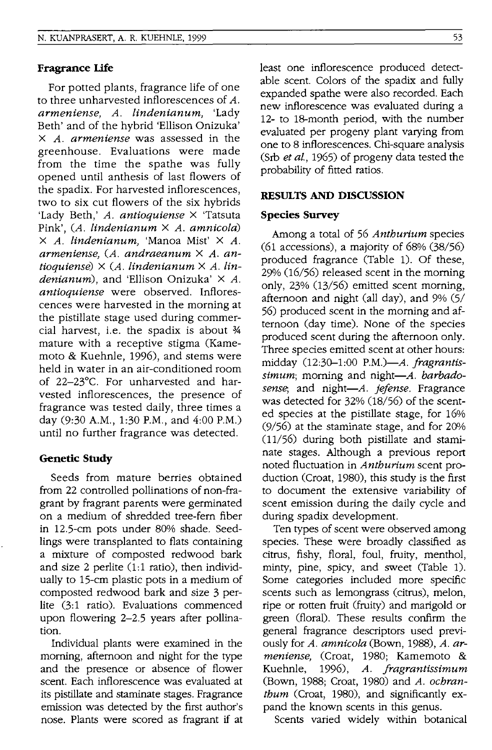#### **Fragrance Life**

For potted plants, fragrance life of one to three unharvested inflorescences of *A. armeniense, A. lindenianum,* 'Lady Beth' and of the hybrid 'Ellison Onizuka' X *A. armeniense* was assessed in the greenhouse. Evaluations were made from the time the spathe was fully opened until anthesis of last flowers of the spadix. For harvested inflorescences, two to six cut flowers of the six hybrids 'Lady Beth,' *A. antioquiense* X 'Tatsuta Pink', *CA. lindenianum* X *A. amnicola)*  X *A. lindenianum,* 'Manoa Mist' X *A. armeniense, CA. andraeanum* X *A. antioquiense)* X *CA. lindenianum* X *A. lindenianum),* and 'Ellison Onizuka' X *A. antioquiense* were observed. Inflorescences were harvested in the morning at the pistillate stage used during commercial harvest, i.e. the spadix is about  $\frac{3}{4}$ mature with a receptive stigma (Kamemoto & Kuehnle, 1996), and stems were held in water in an air-conditioned room of 22-23°C. For unharvested and harvested inflorescences, the presence of fragrance was tested daily, three times a day (9:30 A.M., 1:30 P.M., and 4:00 P.M.) until no further fragrance was detected.

# **Genetic Study**

Seeds from mature berries obtained from 22 controlled pollinations of non-fragrant by fragrant parents were germinated on a medium of shredded tree-fern fiber in 125-cm pots under 80% shade. Seedlings were transplanted to flats containing a mixture of composted redwood bark and size 2 perlite  $(1:1$  ratio), then individually to 15-cm plastic pots in a medium of composted redwood bark and size 3 perlite (3:1 ratio). Evaluations commenced upon flowering 2-25 years after pollination.

Individual plants were examined in the morning, afternoon and night for the type and the presence or absence of flower scent. Each inflorescence was evaluated at its pistillate and staminate stages. Fragrance emission was detected by the first author's nose. Plants were scored as fragrant if at least one inflorescence produced detectable scent. Colors of the spadix and fully expanded spathe were also recorded. Each new inflorescence was evaluated during a 12- to IS-month period, with the number evaluated per progeny plant varying from one to 8 inflorescences. Chi-square analysis (Srb *et aI.,* 1965) of progeny data tested the probability of fitted ratios.

## **RESULTS AND DISCUSSION**

#### **Species Survey**

Among a total of 56 *Antburium* species  $(61 \text{ accessions})$ , a majority of  $68\%$   $(38/56)$ produced fragrance (Table 1). Of these,  $29%$   $(16/56)$  released scent in the morning only, 23% (13/56) emitted scent morning, afternoon and night (all day), and 9% (5/ 56) produced scent in the morning and afternoon (day time). None of the species produced scent during the afternoon only. Three species emitted scent at other hours: midday 02:30-1:00 *P.M.)-A. fragrantis*simum; morning and night-A. barbado*sense;* and *night-A. jefense.* Fragrance was detected for  $32\%$   $(18/56)$  of the scented species at the pistillate stage, for 16% (9/56) at the staminate stage, and for 20% (11/56) during both pistillate and staminate stages. Although a previous report noted fluctuation in *Antburium* scent production (Croat, 1980), this study is the first to document the extensive variability of scent emission during the daily cycle and during spadix development.

Ten types of scent were observed among species. These were broadly classified as citrus, fishy, floral, foul, fruity, menthol, minty, pine, spicy, and sweet CTable 1). Some categories included more specific scents such as lemongrass (citrus), melon, ripe or rotten fruit (fruity) and marigold or green (floral). These results confirm the general fragrance descriptors used previously for *A. amnicola* (Bown, 1988), *A. armeniense,* (Croat, 1980; Kamemoto & Kuehnle, 1996), *A. jragrantissimum*  CBown, 1988; Croat, 1980) and *A. ocbrantbum* (Croat, 1980), and Significantly expand the known scents in this genus.

Scents varied widely within botanical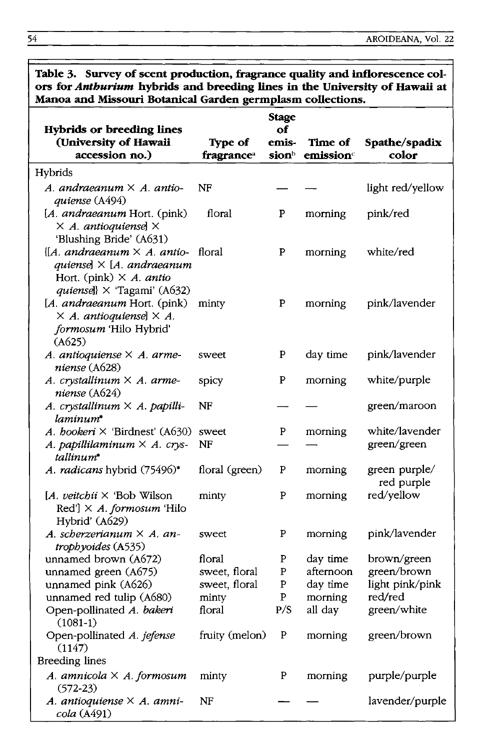| Manoa and Missouri Botanical Garden germplasm collections.                                                                                            |                      |                    |                     |                               |  |  |  |
|-------------------------------------------------------------------------------------------------------------------------------------------------------|----------------------|--------------------|---------------------|-------------------------------|--|--|--|
| <b>Hybrids or breeding lines</b>                                                                                                                      |                      | <b>Stage</b><br>оf |                     |                               |  |  |  |
| (University of Hawaii<br>accession no.)                                                                                                               | Type of<br>fragrance | emis-<br>sionb     | Time of<br>emission | Spathe/spadix<br>color        |  |  |  |
| Hybrids                                                                                                                                               |                      |                    |                     |                               |  |  |  |
| A. andraeanum $\times$ A. antio-<br>quiense (A494)                                                                                                    | NF                   |                    |                     | light red/yellow              |  |  |  |
| [A. andraeanum Hort. (pink)<br>$\times$ A. antioquiensel $\times$<br>'Blushing Bride' (A631)                                                          | floral               | P                  | morning             | pink/red                      |  |  |  |
| $[A. and raeanum \times A.$ antio-<br>quiense $\vert \times \vert A$ . andraeanum<br>Hort. (pink) $\times$ A. antio                                   | floral               | P                  | morning             | white/red                     |  |  |  |
| <i>quiense</i> } $\times$ 'Tagami' (A632)<br>[A. andraeanum Hort. (pink)<br>$\times$ A. antioquiense] $\times$ A.<br>formosum 'Hilo Hybrid'<br>(A625) | minty                | $\mathbf P$        | morning             | pink/lavender                 |  |  |  |
| A. antioquiense $\times$ A. arme-<br>niense (A628)                                                                                                    | sweet                | P                  | day time            | pink/lavender                 |  |  |  |
| A. crystallinum × A. arme-<br>niense $(A624)$                                                                                                         | spicy                | P                  | morning             | white/purple                  |  |  |  |
| A. crystallinum $\times$ A. papilli-<br>laminum*                                                                                                      | NF                   |                    |                     | green/maroon                  |  |  |  |
| A. bookeri $\times$ 'Birdnest' (A630)<br>A. papillilaminum $\times$ A. crys-<br>tallinum*                                                             | sweet<br>NF          | P                  | morning             | white/lavender<br>green/green |  |  |  |
| A. radicans hybrid (75496)*                                                                                                                           | floral (green)       | P                  | morning             | green purple/<br>red purple   |  |  |  |
| [A. veitchii $\times$ 'Bob Wilson<br>Red'] $\times$ A. formosum 'Hilo<br>Hybrid' (A629)                                                               | minty                | P                  | morning             | red/yellow                    |  |  |  |
| A. scherzerianum $\times$ A. an-<br>trophyoides (A535)                                                                                                | sweet                | P                  | morning             | pink/lavender                 |  |  |  |
| unnamed brown (A672)                                                                                                                                  | floral               | P                  | day time            | brown/green                   |  |  |  |
| unnamed green (A675)                                                                                                                                  | sweet, floral        | P                  | afternoon           | green/brown                   |  |  |  |
| unnamed pink (A626)                                                                                                                                   | sweet, floral        | P                  | day time            | light pink/pink               |  |  |  |
| unnamed red tulip (A680)                                                                                                                              | minty                | P                  | morning             | red/red                       |  |  |  |
| Open-pollinated A. bakeri<br>$(1081-1)$                                                                                                               | floral               | P/S                | all day             | green/white                   |  |  |  |
| Open-pollinated A. jefense<br>(1147)                                                                                                                  | fruity (melon)       | P                  | morning             | green/brown                   |  |  |  |
| <b>Breeding lines</b>                                                                                                                                 |                      |                    |                     |                               |  |  |  |
| A. amnicola $\times$ A. formosum<br>$(572-23)$                                                                                                        | minty                | P                  | morning             | purple/purple                 |  |  |  |
| A. antioquiense $\times$ A. amni-<br>cola (A491)                                                                                                      | NF                   |                    |                     | lavender/purple               |  |  |  |

**Table 3. Survey of scent production, fragrance quality and inflorescence colors for** *Antburium* **hybrids and breeding lines in the University of Hawaii at**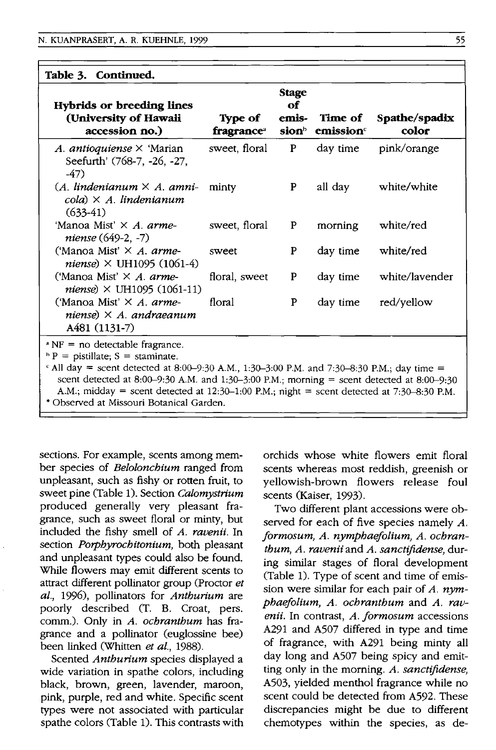| Table 3. Continued.                                                                                                                                                                                                                                                      |                                          |                                      |                                  |                        |
|--------------------------------------------------------------------------------------------------------------------------------------------------------------------------------------------------------------------------------------------------------------------------|------------------------------------------|--------------------------------------|----------------------------------|------------------------|
| Hybrids or breeding lines<br>(University of Hawaii<br>accession no.)                                                                                                                                                                                                     | Type of<br><b>fragrance</b> <sup>a</sup> | <b>Stage</b><br>оf<br>emis-<br>sionb | Time of<br>$\mathbf{emission}^c$ | Spathe/spadix<br>color |
| A. antioquiense $\times$ 'Marian<br>Seefurth' (768-7, -26, -27,<br>$-47)$                                                                                                                                                                                                | sweet, floral                            | P                                    | day time                         | pink/orange            |
| $(A.$ lindenianum $\times$ A. amni-<br>$\mathit{cola}$ ) $\times$ A. lindenianum<br>$(633-41)$                                                                                                                                                                           | minty                                    | P                                    | all day                          | white/white            |
| 'Manoa Mist' × A. arme-<br>niense (649-2, -7)                                                                                                                                                                                                                            | sweet, floral                            | P                                    | morning                          | white/red              |
| ('Manoa Mist' $\times$ A. arme-<br><i>niense</i> ) $\times$ UH1095 (1061-4)                                                                                                                                                                                              | sweet                                    | P                                    | day time                         | white/red              |
| ('Manoa Mist' × A. arme-<br><i>niense</i> ) $\times$ UH1095 (1061-11)                                                                                                                                                                                                    | floral, sweet                            | P                                    | day time                         | white/lavender         |
| ('Manoa Mist' $\times$ A. arme-<br>niense) $\times$ A. andraeanum<br>A481 (1131-7)                                                                                                                                                                                       | floral                                   | P                                    | day time                         | red/yellow             |
| $N = no$ detectable fragrance.<br>$P =$ pistillate; S = staminate.<br>$\epsilon$ All day = scent detected at 8:00-9:30 A.M., 1:30-3:00 P.M. and 7:30-8:30 P.M.; day time =<br>scent detected at 8:00-9:30 A.M. and 1:30-3:00 P.M.; morning = scent detected at 8:00-9:30 |                                          |                                      |                                  |                        |

A.M.; midday = scent detected at  $12:30-1:00$  P.M.; night = scent detected at  $7:30-8:30$  P.M.

• Observed at Missouri Botanical Garden.

sections. For example, scents among member species of *Belolonchium* ranged from unpleasant, such as fishy or rotten fruit, to sweet pine (Table 1). Section *Calomystrium*  produced generally very pleasant fragrance, such as sweet floral or minty, but included the fishy smell of *A. ravenii.* In section *Porphyrochitonium,* both pleasant and unpleasant types could also be found. While flowers may emit different scents to attract different pollinator group (Proctor *et aI.,* 1996), pollinators for *Anthurium* are poorly described (T. B. Croat, pers. comm.). Only in A. *ochranthum* has fragrance and a pollinator (euglossine bee) been linked (Whitten *et al., 1988).* 

Scented *Anthurium* species displayed a wide variation in spathe colors, including black, brown, green, lavender, maroon, pink, purple, red and white. Specific scent types were not associated with particular spathe colors (Table 1). This contrasts with orchids whose white flowers emit floral scents whereas most reddish, greenish or yellowish-brown flowers release foul scents (Kaiser, 1993).

Two different plant accessions were observed for each of five species namely *A.*  formosum, A. nymphaefolium, A. ochran*thum, A. ravenii* and *A. sanctifidense,* during similar stages of floral development (Table 1). Type of scent and time of emission were similar for each pair of *A. nymphaejolium, A. ochranthum* and *A. ravenii.* In contrast, *A. jormosum* accessions A291 and A507 differed in type and time of fragrance, with A291 being minty all day long and A507 being spicy and emitting only in the morning. *A. sanctifidense,*  A503, yielded menthol fragrance while no scent could be detected from A592. These discrepancies might be due to different chemotypes within the species, as de-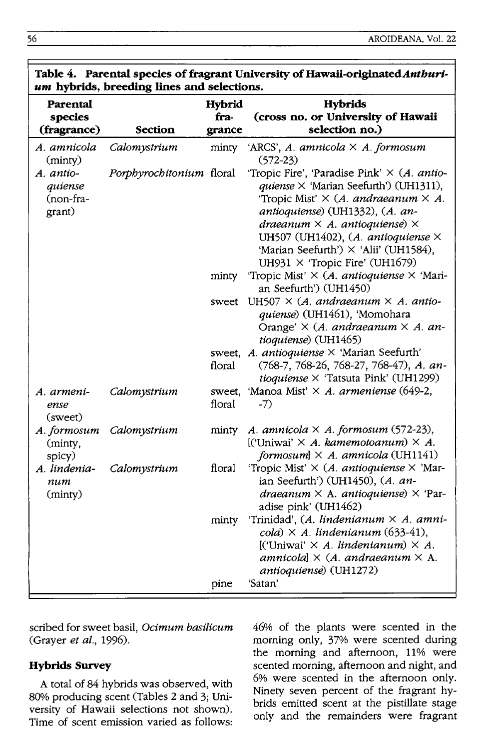|                                                    | um hybrids, breeding lines and selections. |                                 |                                                                                                                                                                                                                                                                                                                                                             |
|----------------------------------------------------|--------------------------------------------|---------------------------------|-------------------------------------------------------------------------------------------------------------------------------------------------------------------------------------------------------------------------------------------------------------------------------------------------------------------------------------------------------------|
| Parental<br>species<br>(fragrance)                 | <b>Section</b>                             | <b>Hybrid</b><br>fra-<br>grance | <b>Hybrids</b><br>(cross no. or University of Hawaii<br>selection no.)                                                                                                                                                                                                                                                                                      |
| A. amnicola<br>(minty)                             | Calomystrium                               | minty                           | 'ARCS', A. amnicola $\times$ A. formosum<br>$(572-23)$                                                                                                                                                                                                                                                                                                      |
| A. antio-<br><i>auiense</i><br>(non-fra-<br>grant) | Porphyrochitonium floral                   |                                 | 'Tropic Fire', 'Paradise Pink' $\times$ (A. antio-<br>quiense × 'Marian Seefurth') (UH1311),<br>'Tropic Mist' $\times$ (A. andraeanum $\times$ A.<br>antioquiense) (UH1332), (A. an-<br>draeanum $\times$ A. antioquiense) $\times$<br>UH507 (UH1402), (A. antioquiense $\times$<br>'Marian Seefurth') × 'Alii' (UH1584),<br>UH931 × 'Tropic Fire' (UH1679) |
|                                                    |                                            |                                 | minty 'Tropic Mist' $\times$ (A. antioquiense $\times$ 'Mari-<br>an Seefurth') (UH1450)                                                                                                                                                                                                                                                                     |
|                                                    |                                            | sweet                           | UH507 $\times$ (A. andraeanum $\times$ A. antio-<br>quiense) (UH1461), 'Momohara<br>Orange' $\times$ (A. andraeanum $\times$ A. an-<br>tioquiense) (UH1465)                                                                                                                                                                                                 |
|                                                    |                                            | floral                          | sweet, A. antioquiense X 'Marian Seefurth'<br>(768-7, 768-26, 768-27, 768-47), A. an-<br>$tioguiense \times$ 'Tatsuta Pink' (UH1299)                                                                                                                                                                                                                        |
| A. armeni-<br>ense<br>(sweet)                      | Calomystrium                               | floral                          | sweet, 'Manoa Mist' $\times$ A. armeniense (649-2,<br>$-7)$                                                                                                                                                                                                                                                                                                 |
| A. formosum<br>(minty,<br>spicy)                   | Calomystrium                               | minty                           | A. amnicola $\times$ A. formosum (572-23),<br>[('Uniwai' $\times$ A. kamemotoanum) $\times$ A.<br>formosum $] \times A$ . amnicola (UH1141)                                                                                                                                                                                                                 |
| A. lindenia-<br>num<br>(minty)                     | Calomystrium                               | floral                          | 'Tropic Mist' $\times$ (A. antioquiense $\times$ 'Mar-<br>ian Seefurth') (UH1450), (A. an-<br>draeanum $\times$ A. antioquiense) $\times$ 'Par-<br>adise pink' (UH1462)                                                                                                                                                                                     |
|                                                    |                                            | minty                           | 'Trinidad', (A. lindenianum × A. amni-<br>cola) $\times$ A. lindenianum (633-41),<br>[('Uniwai' $\times$ A. lindenianum) $\times$ A.<br>amnicola] $\times$ (A. andraeanum $\times$ A.<br>antioquiense) (UH1272)                                                                                                                                             |
|                                                    |                                            | pine                            | 'Satan'                                                                                                                                                                                                                                                                                                                                                     |

# Table 4. Parental species of fragrant University of Hawaii-originated *Anthuri*-

scribed for sweet basil, *Ocimum basilicum*  (Grayer *et al.,* 1996).

# **Hybrids Survey**

A total of 84 hybrids was observed, with 80% producing scent (Tables 2 and 3; University of Hawaii selections not shown). Time of scent emission varied as follows: 46% of the plants were scented in the morning only, 37% were scented during the morning and afternoon, 11% were scented morning, afternoon and night, and 6% were scented in the afternoon only. Ninety seven percent of the fragrant hybrids emitted scent at the pistillate stage only and the remainders were fragrant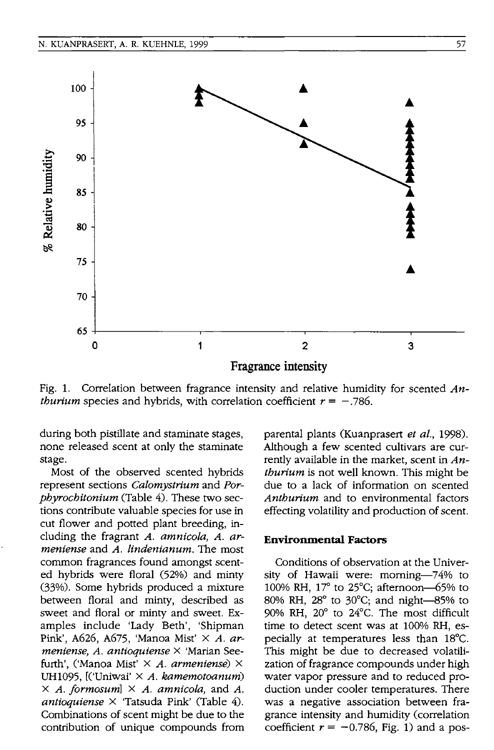

Fig. 1. Correlation between fragrance intensity and relative humidity for scented *Anthurium* species and hybrids, with correlation coefficient  $r = -.786$ .

during both pistillate and staminate stages, none released scent at only the staminate stage.

Most of the observed scented hybrids represent sections *Caiomystrium* and *Porpbyrocbitonium* (Table 4). These two sections contribute valuable species for use in cut flower and potted plant breeding, including the fragrant *A. amnicola, A. armeniense* and *A. lindenianum.* The most common fragrances found amongst scented hybrids were floral (52%) and minty (33%). Some hybrids produced a mixture between floral and minty, described as sweet and floral or minty and sweet. Examples include 'Lady Beth', 'Shipman Pink', A626, A675, 'Manoa Mist' X *A. armeniense, A. antioquiense* X 'Marian Seefurth', ('Manoa Mist' X *A. armeniense)* X UH1095 , [('Uniwai' X *A. kamemotoanum)*   $\times$  *A. formosum*]  $\times$  *A. amnicola, and A. antioquiense* X 'Tatsuda Pink' (Table 4). Combinations of scent might be due to the contribution of unique compounds from parental plants (Kuanprasert *et ai., 1998).*  Although a few scented cultivars are currently available in the market, scent in *Antburium* is not well known. This might be due to a lack of information on scented *Antburium* and to environmental factors effecting volatility and production of scent.

#### **Environmental Factors**

Conditions of observation at the University of Hawaii were: morning-74% to 100% RH,  $17^{\circ}$  to 25 $^{\circ}$ C; afternoon-65% to 80% RH,  $28^{\circ}$  to 30°C; and night-85% to 90% RH, 20° to 24°C. The most difficult time to detect scent was at 100% RH, especially at temperatures less than 18°C. This might be due to decreased volatilization of fragrance compounds under high water vapor pressure and to reduced production under cooler temperatures. There was a negative association between fragrance intensity and humidity (correlation coefficient  $r = -0.786$ , Fig. 1) and a pos-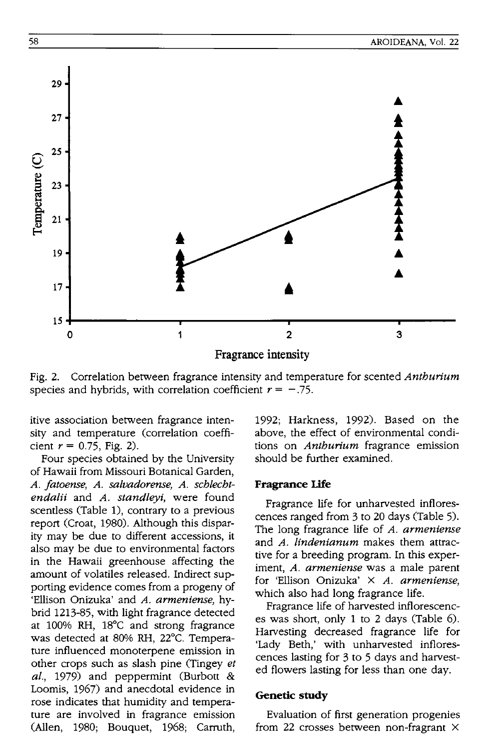

Fig. 2. Correlation between fragrance intensity and temperature for scented *Anthurium*  species and hybrids, with correlation coefficient  $r = -.75$ .

itive association between fragrance intensity and temperature (correlation coefficient  $r = 0.75$ , Fig. 2).

Four species obtained by the University of Hawaii from Missouri Botanical Garden, *A. !atoense, A. salvadorense, A. schlechtendalii* and *A. standleyi,* were found scentless (Table 1), contrary to a previous report (Croat, 1980). Although this disparity may be due to different accessions, it also may be due to environmental factors in the Hawaii greenhouse affecting the amount of volatiles released. Indirect supporting evidence comes from a progeny of 'Ellison Onizuka' and *A. armeniense,* hybrid 1213-85, with light fragrance detected at 100% RH, 18°C and strong fragrance was detected at 80% RH, 22°C. Temperature influenced monoterpene emission in other crops such as slash pine (Tingey *et al.,* 1979) and peppermint (Burbott & Loomis, 1967) and anecdotal evidence in rose indicates that humidity and temperature are involved in fragrance emission (Allen, 1980; Bouquet, 1968; Carruth,

1992; Harkness, 1992). Based on the above, the effect of environmental conditions on *Anthurium* fragrance emission should be further examined.

#### **Fragrance Life**

Fragrance life for unharvested inflorescences ranged from 3 to 20 days (Table 5). The long fragrance life of *A. armeniense*  and *A. lindenianum* makes them attractive for a breeding program. In this experiment, *A. armeniense* was a male parent for 'Ellison Onizuka' X *A. armeniense,*  which also had long fragrance life.

Fragrance life of harvested inflorescences was short, only 1 to 2 days (Table 6). Harvesting decreased fragrance life for 'Lady Beth,' with unharvested inflorescences lasting for 3 to 5 days and harvested flowers lasting for less than one day.

#### **Genetic study**

Evaluation of first generation progenies from 22 crosses between non-fragrant X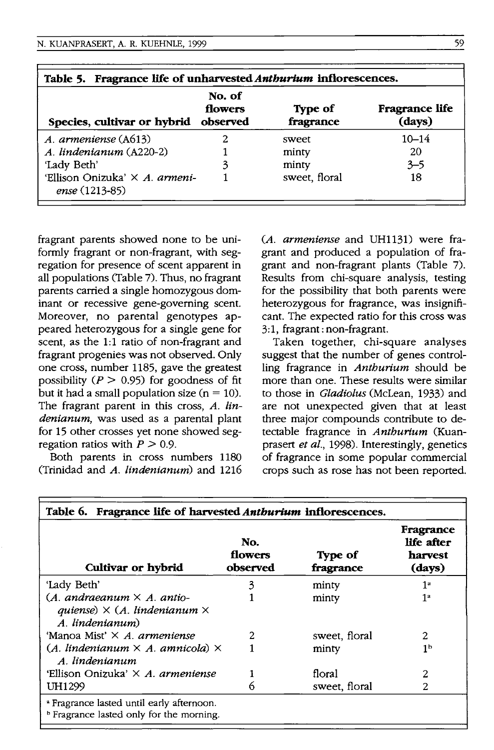| Table 5. Fragrance life of unharvested Anthurium inflorescences. |                               |                      |                          |  |  |  |
|------------------------------------------------------------------|-------------------------------|----------------------|--------------------------|--|--|--|
| Species, cultivar or hybrid                                      | No. of<br>flowers<br>observed | Type of<br>fragrance | Fragrance life<br>(days) |  |  |  |
| A. armeniense (A613)                                             |                               | sweet                | $10 - 14$                |  |  |  |
| A. lindenianum (A220-2)                                          |                               | minty                | 20                       |  |  |  |
| 'Lady Beth'                                                      | 3                             | minty                | $3 - 5$                  |  |  |  |
| 'Ellison Onizuka' X A. armeni-<br>ense (1213-85)                 |                               | sweet, floral        | 18                       |  |  |  |

fragrant parents showed none to be uniformly fragrant or non-fragrant, with segregation for presence of scent apparent in all populations (Table 7). Thus, no fragrant parents carried a single homozygous dominant or recessive gene-governing scent. Moreover, no parental genotypes appeared heterozygous for a single gene for scent, as the 1:1 ratio of non-fragrant and fragrant progenies was not observed. Only one cross, number 1185, gave the greatest possibility ( $P > 0.95$ ) for goodness of fit but it had a small population size  $(n = 10)$ . The fragrant parent in this cross, *A. lindenianum,* was used as a parental plant for 15 other crosses yet none showed segregation ratios with  $P > 0.9$ .

Both parents in cross numbers 1180 (Trinidad and *A. lindenianum)* and 1216 *(A. armeniense* and UH1131) were fragrant and produced a population of fragrant and non-fragrant plants (Table 7). Results from chi-square analysis, testing for the possibility that both parents were heterozygous for fragrance, was insignificant. The expected ratio for this cross was 3:1, fragrant: non-fragrant.

Taken together, chi-square analyses suggest that the number of genes controlling fragrance in *Anthurium* should be more than one. These results were similar to those in *Gladiolus* (McLean, 1933) and are not unexpected given that at least three major compounds contribute to detectable fragrance in *Anthurium* (Kuanprasert *et al.,* 1998). Interestingly, genetics of fragrance in some popular commercial crops such as rose has not been reported.

| Table 6. Fragrance life of harvested Anthurium inflorescences.                                              |                            |                      |                                              |  |  |
|-------------------------------------------------------------------------------------------------------------|----------------------------|----------------------|----------------------------------------------|--|--|
| Cultivar or hybrid                                                                                          | No.<br>flowers<br>observed | Type of<br>fragrance | Fragrance<br>life after<br>harvest<br>(days) |  |  |
| 'Lady Beth'                                                                                                 | 3                          | minty                | 1ª                                           |  |  |
| (A. andraeanum $\times$ A. antio-<br>quiense) $\times$ (A. lindenianum $\times$<br>A. lindenianum)          |                            | minty                | 1 <sup>2</sup>                               |  |  |
| 'Manoa Mist' X A. armeniense                                                                                | 2                          | sweet, floral        | 2                                            |  |  |
| $(A.$ lindenianum $\times$ A. amnicola) $\times$<br>A. lindenianum                                          |                            | minty                | 1 <sub>b</sub>                               |  |  |
| 'Ellison Onizuka' X A. armeniense                                                                           |                            | floral               | 2                                            |  |  |
| UH1299                                                                                                      | n                          | sweet, floral        | 2                                            |  |  |
| <sup>2</sup> Fragrance lasted until early afternoon.<br><sup>b</sup> Fragrance lasted only for the morning. |                            |                      |                                              |  |  |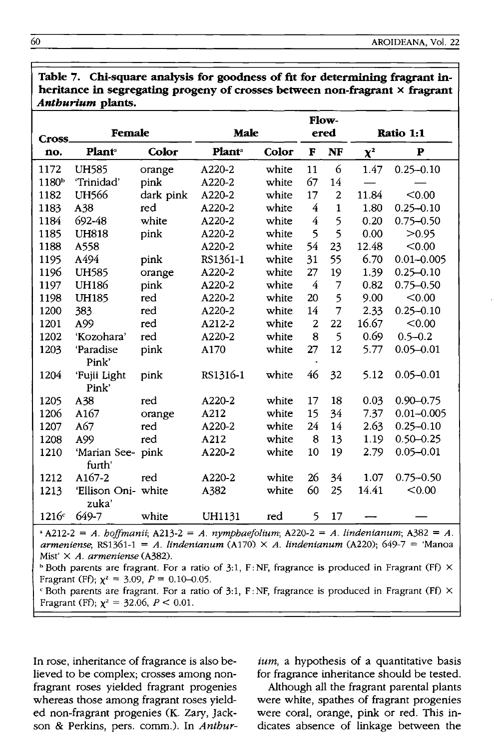|                   | лнын инт рашь.      |           |                           |       |                |                |          |                |
|-------------------|---------------------|-----------|---------------------------|-------|----------------|----------------|----------|----------------|
|                   |                     |           |                           |       |                | Flow-          |          |                |
| Cross.            | Female              |           | Male                      |       |                | ered           |          | Ratio 1:1      |
| no.               | Plant <sup>®</sup>  | Color     | <b>Plant</b> <sup>a</sup> | Color | F              | NF             | $\chi^2$ | P              |
| 1172              | <b>UH585</b>        | orange    | A220-2                    | white | 11             | 6              | 1.47     | $0.25 - 0.10$  |
| 1180 <sup>b</sup> | 'Trinidad'          | pink      | A220-2                    | white | 67             | 14             |          |                |
| 1182              | <b>UH566</b>        | dark pink | A220-2                    | white | 17             | $\overline{2}$ | 11.84    | < 0.00         |
| 1183              | A38                 | red       | A220-2                    | white | $\overline{4}$ | $\mathbf{1}$   | 1.80     | $0.25 - 0.10$  |
| 1184              | 692-48              | white     | A220-2                    | white | $\overline{4}$ | 5              | 0.20     | $0.75 - 0.50$  |
| 1185              | <b>UH818</b>        | pink      | A220-2                    | white | 5              | 5              | 0.00     | >0.95          |
| 1188              | A558                |           | A220-2                    | white | 54             | 23             | 12.48    | < 0.00         |
| 1195              | A494                | pink      | RS1361-1                  | white | 31             | 55             | 6.70     | $0.01 - 0.005$ |
| 1196              | <b>UH585</b>        | orange    | A220-2                    | white | 27             | 19             | 1.39     | $0.25 - 0.10$  |
| 1197              | <b>UH186</b>        | pink      | A220-2                    | white | $\overline{4}$ | $\overline{7}$ | 0.82     | $0.75 - 0.50$  |
| 1198              | <b>UH185</b>        | red       | A220-2                    | white | 20             | 5              | 9.00     | < 0.00         |
| 1200              | 383                 | red       | A220-2                    | white | 14             | $\overline{7}$ | 2.33     | $0.25 - 0.10$  |
| 1201              | A99                 | red       | A212-2                    | white | 2              | 22             | 16.67    | < 0.00         |
| 1202              | 'Kozohara'          | red       | A220-2                    | white | 8              | 5              | 0.69     | $0.5 - 0.2$    |
| 1203              | 'Paradise           | pink      | A170                      | white | 27             | 12             | 5.77     | $0.05 - 0.01$  |
|                   | Pink'               |           |                           |       |                |                |          |                |
| 1204              | 'Fujii Light        | pink      | RS1316-1                  | white | 46             | 32             | 5.12     | $0.05 - 0.01$  |
|                   | Pink'               |           |                           |       |                |                |          |                |
| 1205              | A38                 | red       | A220-2                    | white | 17             | 18             | 0.03     | $0.90 - 0.75$  |
| 1206              | A <sub>167</sub>    | orange    | A212                      | white | 15             | 34             | 7.37     | $0.01 - 0.005$ |
| 1207              | A67                 | red       | A220-2                    | white | 24             | 14             | 2.63     | $0.25 - 0.10$  |
| 1208              | A99                 | red       | A212                      | white | 8              | 13             | 1.19     | $0.50 - 0.25$  |
| 1210              | 'Marian See- pink   |           | A220-2                    | white | 10             | 19             | 2.79     | $0.05 - 0.01$  |
|                   | furth'              |           |                           |       |                |                |          |                |
| 1212              | A167-2              | red       | A220-2                    | white | 26             | 34             | 1.07     | $0.75 - 0.50$  |
| 1213              | 'Ellison Oni- white |           | A382                      | white | 60             | 25             | 14.41    | < 0.00         |
|                   | zuka'               |           |                           |       |                |                |          |                |
| 1216              | 649-7               | white     | UH1131                    | red   | 5              | 17             |          |                |

**Table 7. Chi-square analysis for goodness of fit for determining fragrant inheritance in segregating progeny of crosses between non-fragrant x fragrant**  *Anthurium* **plants.** 

 $A_{212-2} = A$ . *hoffmanii*;  $A_{213-2} = A$ . *nymphaefolium*;  $A_{20-2} = A$ . *lindenianum*;  $A_{382} = A$ . *armeniense;* RS1361-1 = *A. lindenianum* (A170) X *A. lindenianum* (A220); 649-7 = 'Manoa Mist' X *A. armeniense* (A382).

 $h$  Both parents are fragrant. For a ratio of 3:1, F: NF, fragrance is produced in Fragrant (Ff)  $\times$ Fragrant (Ff);  $\chi^2 = 3.09$ ,  $P = 0.10{\text -}0.05$ .

 $\epsilon$  Both parents are fragrant. For a ratio of 3:1, F: NF, fragrance is produced in Fragrant (Ff)  $\times$ Fragrant (Ff);  $\chi^2 = 32.06$ ,  $P < 0.01$ .

In rose, inheritance of fragrance is also believed to be complex; crosses among nonfragrant roses yielded fragrant progenies whereas those among fragrant roses yielded non-fragrant progenies (K. Zary, Jackson & Perkins, pers. comm.). In *Anthur-*

ium, a hypothesis of a quantitative basis for fragrance inheritance should be tested.

Although all the fragrant parental plants were white, spathes of fragrant progenies were coral, orange, pink or red. This indicates absence of linkage between the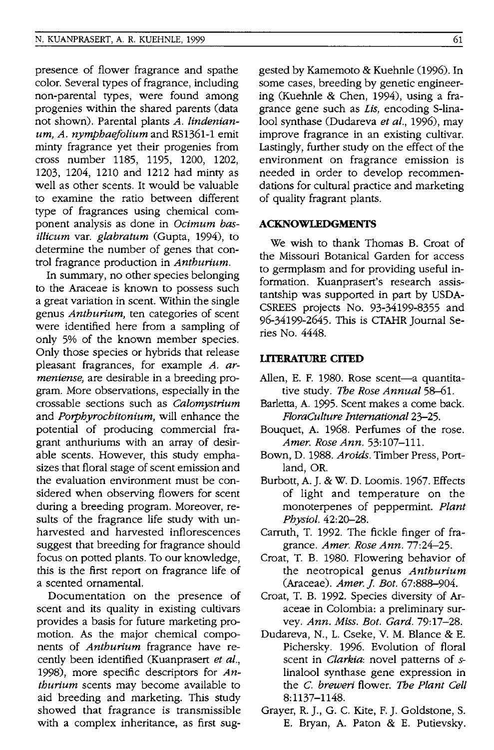presence of flower fragrance and spathe color. Several types of fragrance, induding non-parental types, were found among progenies within the shared parents (data not shown). Parental plants *A. lindenianum, A. nymphaejolium* and RS1361-1 emit minty fragrance yet their progenies from cross number 1185, 1195, 1200, 1202, 1203, 1204, 1210 and 1212 had minty as well as other scents. It would be valuable to examine the ratio between different type of fragrances using chemical component analysis as done in *Ocimum basillicum* var. *glabratum* (Gupta, 1994), to determine the number of genes that control fragrance production in *Anthurium.* 

In summary, no other species belonging to the Araceae is known to possess such a great variation in scent. Within the single genus *Anthurium,* ten categories of scent were identified here from a sampling of only 5% of the known member species. Only those species or hybrids that release pleasant fragrances, for example *A. armeniense,* are desirable in a breeding program. More observations, especially in the crossable sections such as *Calomystrium*  and *Porphyrochitonium,* will enhance the potential of producing commercial fragrant anthuriums with an array of desirable scents. However, this study emphasizes that floral stage of scent emission and the evaluation environment must be considered when observing flowers for scent during a breeding program. Moreover, results of the fragrance life study with unharvested and harvested inflorescences suggest that breeding for fragrance should focus on potted plants. To our knowledge, this is the first report on fragrance life of a scented ornamental.

Documentation on the presence of scent and its quality in existing cultivars provides a basis for future marketing promotion. As the major chemical components of *Anthurium* fragrance have recently been identified (Kuanprasert *et al.,*  1998), more specific descriptors for *Anthurium* scents may become available to aid breeding and marketing. This study showed that fragrance is transmissible with a complex inheritance, as first suggested by Kamemoto & Kuehnle (1996). In some cases, breeding by genetic engineering (Kuehnle & Chen, 1994), using a fragrance gene such as *Lis,* encoding S-lina-1001 synthase (Dudareva *et al.,* 1996), may improve fragrance in an existing cultivar. Lastingly, further study on the effect of the environment on fragrance emission is needed in order to develop recommendations for cultural practice and marketing of quality fragrant plants.

#### **ACKNOWLEDGMENTS**

We wish to thank Thomas B. Croat of the Missouri Botanical Garden for access to germplasm and for providing useful information. Kuanprasert's research assistantship was supported in part by USDA-CSREES projects No. 93-34199-8355 and 96-34199-2645. This is CTAHR Journal Series No. 4448.

### **llTERATURE CITED**

- Allen, E. F. 1980. Rose scent-a quantitative study. The *Rose Annual 58-61.*
- Barletta, A. 1995. Scent makes a come back. *FIoraCulture International* 23-25.
- Bouquet, A. 1968. Perfumes of the rose. *Amer. Rose Ann. 53:107-111.*
- Bown, D. 1988. *Aroids.* Timber Press, Portland, OR.
- Burbott, A. J. & W. D. Loomis. 1967. Effects of light and temperature on the monoterpenes of peppermint. *Plant Physiol. 42:20-28.*
- Carruth, T. 1992. The fickle finger of fragrance. *Amer. Rose Ann. 77:24-25.*
- Croat, T. B. 1980. Flowering behavior of the neotropical genus *Anthurium*  (Araceae). *Amer. J. Bot. 67:888-904.*
- Croat, T. B. 1992. Species diversity of Araceae in Colombia: a preliminary survey. *Ann. Miss. Bot. Card.* 79: 17-28.
- Dudareva, N., 1. Cseke, V. M. Blance & E. Pichersky. 1996. Evolution of floral scent in *Clarkia*: novel patterns of slinalool synthase gene expression in the C. *breweri* flower. The *Plant Cell*  8:1137-1148.
- Grayer, R. J., G. C. Kite, F. J. Goldstone, S. E. Bryan, A. Paton & E. Putievsky.